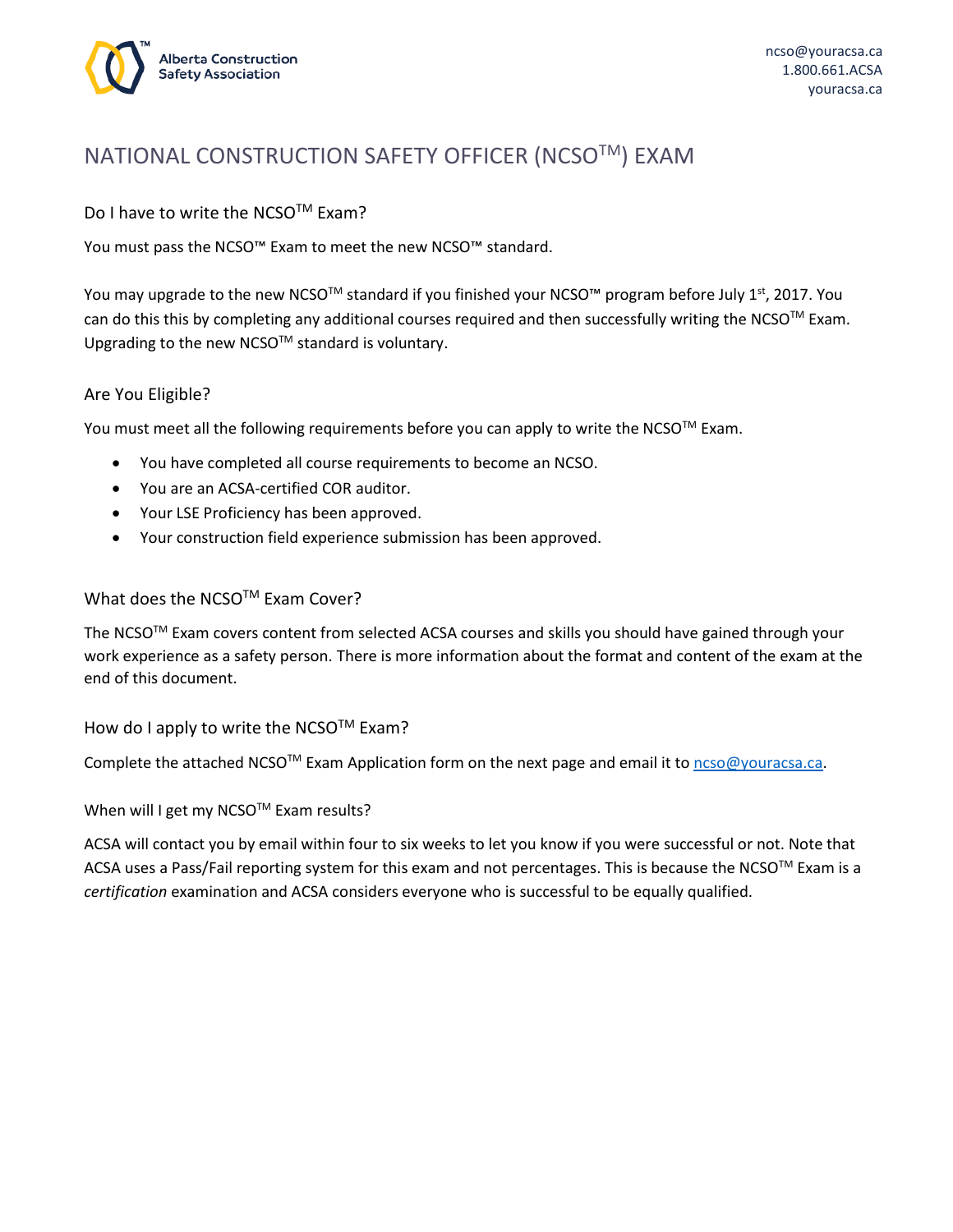

# NATIONAL CONSTRUCTION SAFETY OFFICER (NCSO™) EXAM

Do I have to write the NCSO™ Exam?

You must pass the NCSO™ Exam to meet the new NCSO™ standard.

You may upgrade to the new NCSO™ standard if you finished your NCSO™ program before July 1<sup>st</sup>, 2017. You can do this this by completing any additional courses required and then successfully writing the NCSO™ Exam. Upgrading to the new NCSO™ standard is voluntary.

#### Are You Eligible?

You must meet all the following requirements before you can apply to write the NCSO™ Exam.

- You have completed all course requirements to become an NCSO.
- You are an ACSA-certified COR auditor.
- Your LSE Proficiency has been approved.
- Your construction field experience submission has been approved.

#### What does the NCSO™ Exam Cover?

The NCSOTM Exam covers content from selected ACSA courses and skills you should have gained through your work experience as a safety person. There is more information about the format and content of the exam at the end of this document.

How do I apply to write the NCSO™ Exam?

Complete the attached NCSO<sup>™</sup> Exam Application form on the next page and email it t[o ncso@youracsa.ca.](mailto:ncso@youracsa.ca)

When will I get my NCSO™ Exam results?

ACSA will contact you by email within four to six weeks to let you know if you were successful or not. Note that ACSA uses a Pass/Fail reporting system for this exam and not percentages. This is because the NCSO™ Exam is a *certification* examination and ACSA considers everyone who is successful to be equally qualified.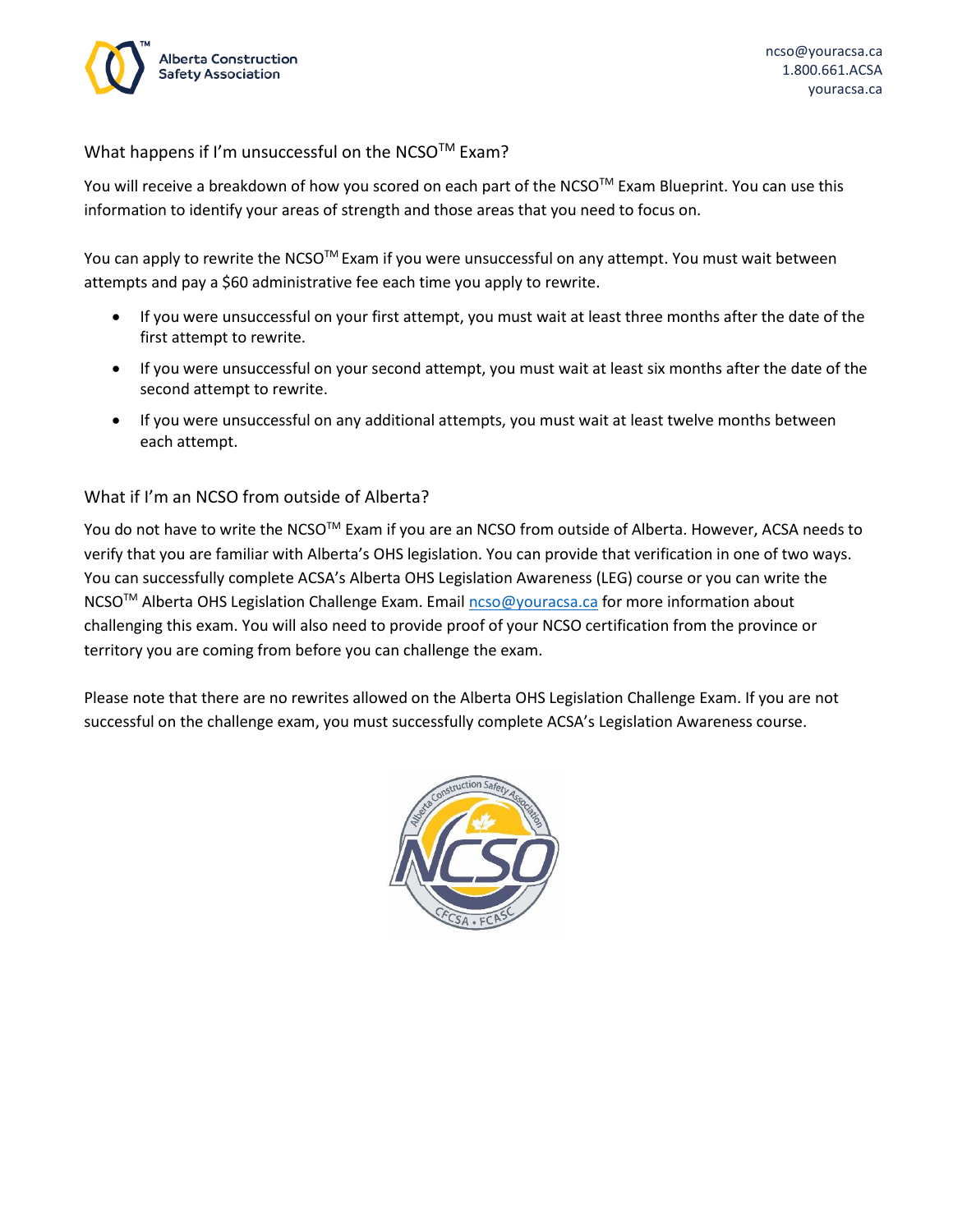

What happens if I'm unsuccessful on the NCSO™ Exam?

You will receive a breakdown of how you scored on each part of the NCSO $^{TM}$  Exam Blueprint. You can use this information to identify your areas of strength and those areas that you need to focus on.

You can apply to rewrite the NCSO<sup>™</sup> Exam if you were unsuccessful on any attempt. You must wait between attempts and pay a \$60 administrative fee each time you apply to rewrite.

- If you were unsuccessful on your first attempt, you must wait at least three months after the date of the first attempt to rewrite.
- If you were unsuccessful on your second attempt, you must wait at least six months after the date of the second attempt to rewrite.
- If you were unsuccessful on any additional attempts, you must wait at least twelve months between each attempt.

### What if I'm an NCSO from outside of Alberta?

You do not have to write the NCSO™ Exam if you are an NCSO from outside of Alberta. However, ACSA needs to verify that you are familiar with Alberta's OHS legislation. You can provide that verification in one of two ways. You can successfully complete ACSA's Alberta OHS Legislation Awareness (LEG) course or you can write the NCSO<sup>™</sup> Alberta OHS Legislation Challenge Exam. Email [ncso@youracsa.ca](mailto:ncso@youracsa.ca) for more information about challenging this exam. You will also need to provide proof of your NCSO certification from the province or territory you are coming from before you can challenge the exam.

Please note that there are no rewrites allowed on the Alberta OHS Legislation Challenge Exam. If you are not successful on the challenge exam, you must successfully complete ACSA's Legislation Awareness course.

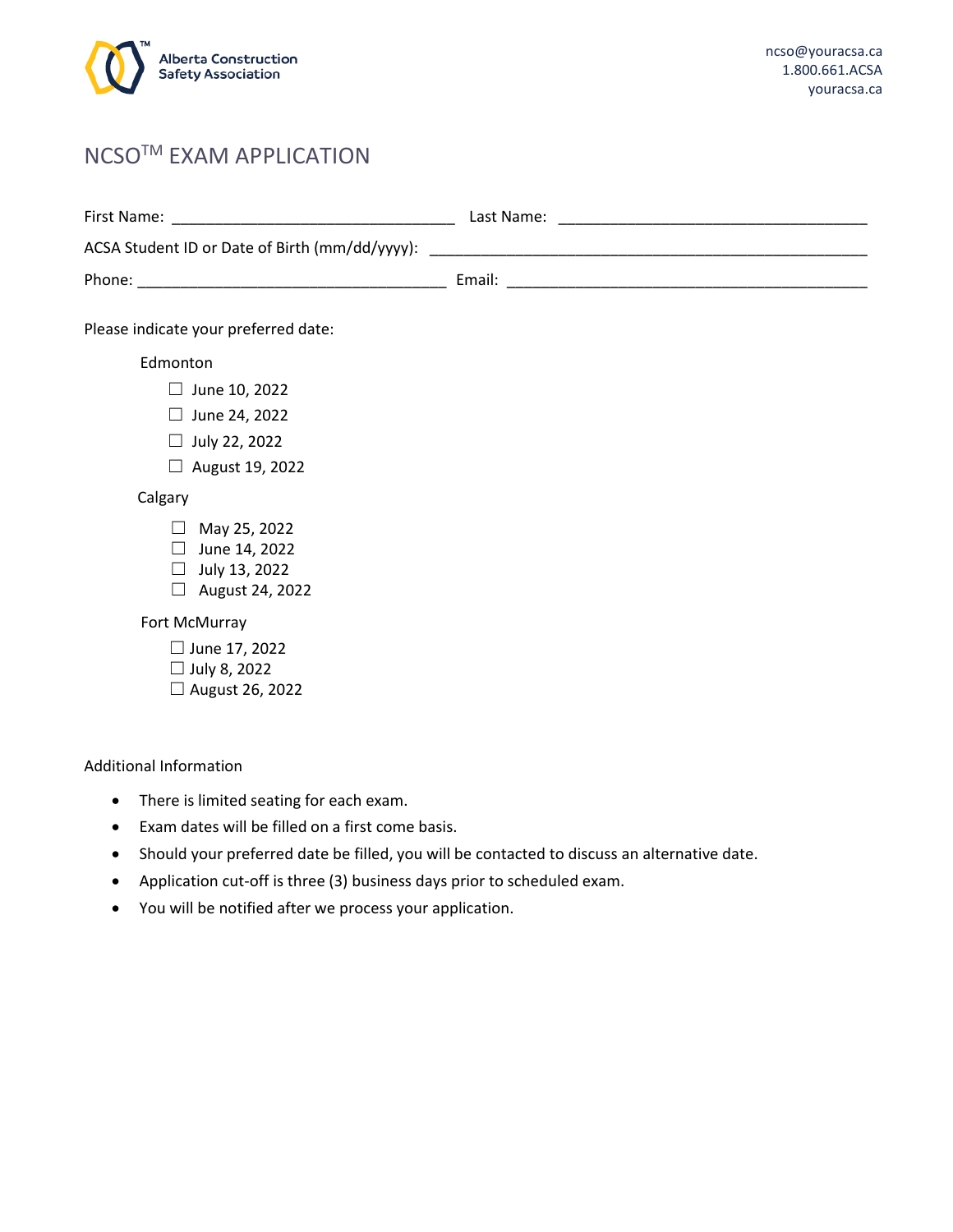

# NCSOTM EXAM APPLICATION

| First Name:                                    | Last Name: |
|------------------------------------------------|------------|
| ACSA Student ID or Date of Birth (mm/dd/yyyy): |            |
| Phone:                                         | Email:     |

Please indicate your preferred date:

## Edmonton

- $\Box$  June 10, 2022
- $\Box$  June 24, 2022
- ☐ July 22, 2022
- ☐ August 19, 2022

#### Calgary

- $\Box$  May 25, 2022
- ☐ June 14, 2022
- $\Box$  July 13, 2022
- ☐ August 24, 2022

#### Fort McMurray

- ☐ June 17, 2022
- ☐ July 8, 2022
- ☐ August 26, 2022

#### Additional Information

- There is limited seating for each exam.
- Exam dates will be filled on a first come basis.
- Should your preferred date be filled, you will be contacted to discuss an alternative date.
- Application cut-off is three (3) business days prior to scheduled exam.
- You will be notified after we process your application.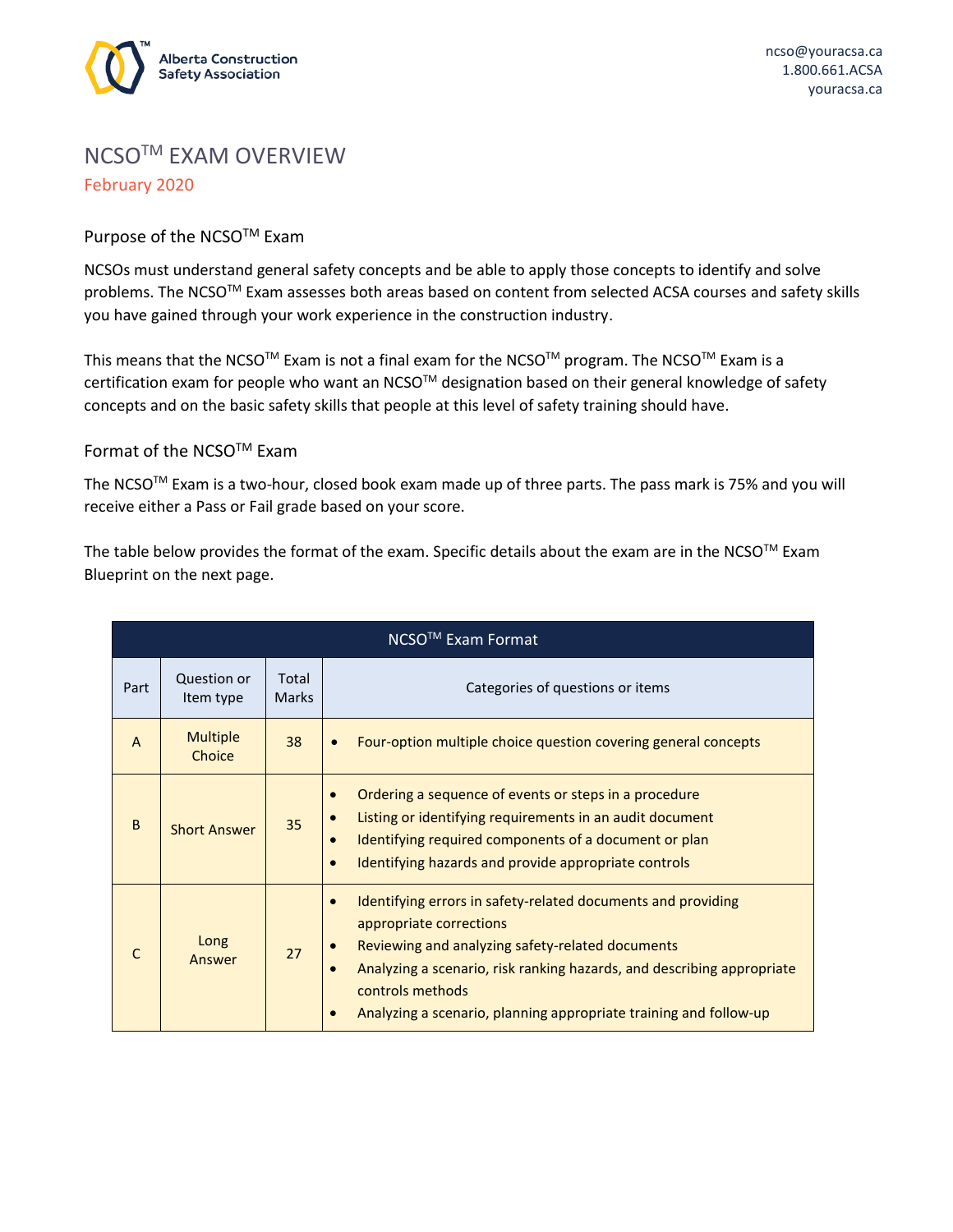

# NCSOTM EXAM OVERVIEW February 2020

#### Purpose of the NCSO<sup>™</sup> Exam

NCSOs must understand general safety concepts and be able to apply those concepts to identify and solve problems. The NCSO™ Exam assesses both areas based on content from selected ACSA courses and safety skills you have gained through your work experience in the construction industry.

This means that the NCSO<sup>™</sup> Exam is not a final exam for the NCSO<sup>™</sup> program. The NCSO<sup>™</sup> Exam is a certification exam for people who want an NCSO™ designation based on their general knowledge of safety concepts and on the basic safety skills that people at this level of safety training should have.

#### Format of the NCSOTM Exam

The NCSO<sup>™</sup> Exam is a two-hour, closed book exam made up of three parts. The pass mark is 75% and you will receive either a Pass or Fail grade based on your score.

The table below provides the format of the exam. Specific details about the exam are in the NCSO™ Exam Blueprint on the next page.

| NCSO <sup>™</sup> Exam Format |                           |                       |                                                                                                                                                                                                                                                                                                                                                       |  |  |  |  |  |
|-------------------------------|---------------------------|-----------------------|-------------------------------------------------------------------------------------------------------------------------------------------------------------------------------------------------------------------------------------------------------------------------------------------------------------------------------------------------------|--|--|--|--|--|
| Part                          | Question or<br>Item type  | Total<br><b>Marks</b> | Categories of questions or items                                                                                                                                                                                                                                                                                                                      |  |  |  |  |  |
| A                             | <b>Multiple</b><br>Choice | 38                    | Four-option multiple choice question covering general concepts                                                                                                                                                                                                                                                                                        |  |  |  |  |  |
| B                             | <b>Short Answer</b>       | 35                    | Ordering a sequence of events or steps in a procedure<br>$\bullet$<br>Listing or identifying requirements in an audit document<br>$\bullet$<br>Identifying required components of a document or plan<br>$\bullet$<br>Identifying hazards and provide appropriate controls<br>$\bullet$                                                                |  |  |  |  |  |
| C                             | Long<br>Answer            | 27                    | Identifying errors in safety-related documents and providing<br>$\bullet$<br>appropriate corrections<br>Reviewing and analyzing safety-related documents<br>Analyzing a scenario, risk ranking hazards, and describing appropriate<br>$\bullet$<br>controls methods<br>Analyzing a scenario, planning appropriate training and follow-up<br>$\bullet$ |  |  |  |  |  |